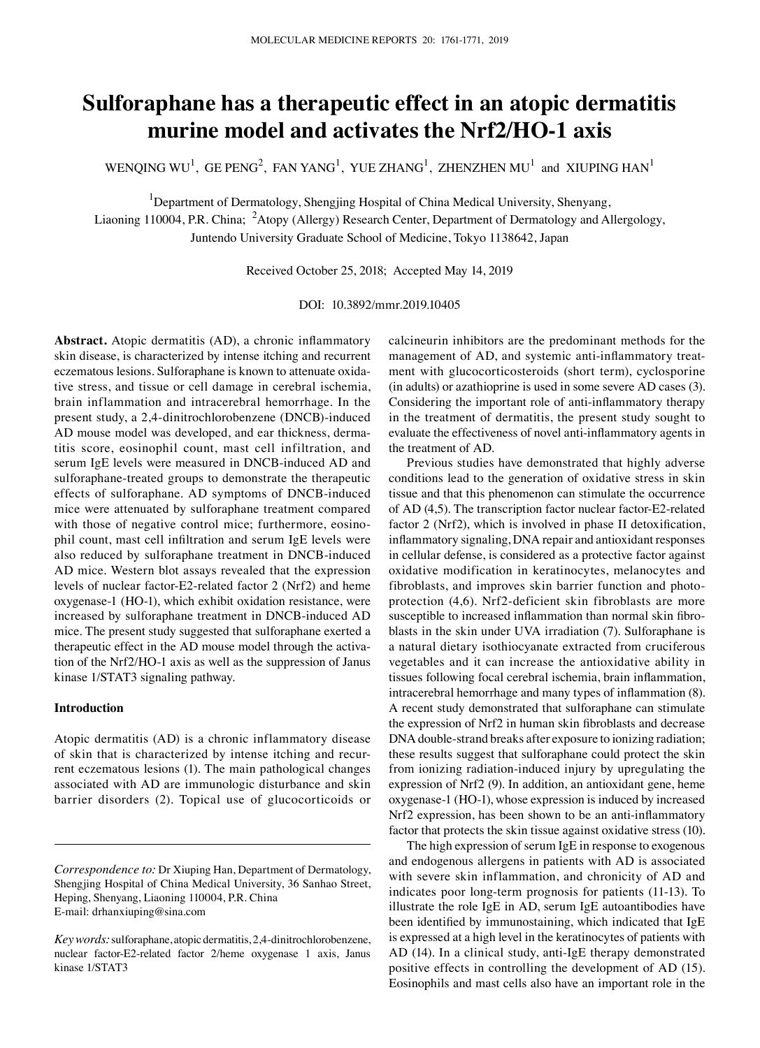# **Sulforaphane has a therapeutic effect in an atopic dermatitis murine model and activates the Nrf2/HO‑1 axis**

WENQING WU<sup>1</sup>, GE PENG<sup>2</sup>, FAN YANG<sup>1</sup>, YUE ZHANG<sup>1</sup>, ZHENZHEN MU<sup>1</sup> and XIUPING HAN<sup>1</sup>

<sup>1</sup>Department of Dermatology, Shengjing Hospital of China Medical University, Shenyang,

Liaoning 110004, P.R. China; <sup>2</sup>Atopy (Allergy) Research Center, Department of Dermatology and Allergology, Juntendo University Graduate School of Medicine, Tokyo 1138642, Japan

Received October 25, 2018; Accepted May 14, 2019

DOI: 10.3892/mmr.2019.10405

**Abstract.** Atopic dermatitis (AD), a chronic inflammatory skin disease, is characterized by intense itching and recurrent eczematous lesions. Sulforaphane is known to attenuate oxidative stress, and tissue or cell damage in cerebral ischemia, brain inflammation and intracerebral hemorrhage. In the present study, a 2,4‑dinitrochlorobenzene (DNCB)‑induced AD mouse model was developed, and ear thickness, dermatitis score, eosinophil count, mast cell infiltration, and serum IgE levels were measured in DNCB-induced AD and sulforaphane-treated groups to demonstrate the therapeutic effects of sulforaphane. AD symptoms of DNCB‑induced mice were attenuated by sulforaphane treatment compared with those of negative control mice; furthermore, eosinophil count, mast cell infiltration and serum IgE levels were also reduced by sulforaphane treatment in DNCB‑induced AD mice. Western blot assays revealed that the expression levels of nuclear factor‑E2‑related factor 2 (Nrf2) and heme oxygenase-1 (HO‑1), which exhibit oxidation resistance, were increased by sulforaphane treatment in DNCB-induced AD mice. The present study suggested that sulforaphane exerted a therapeutic effect in the AD mouse model through the activation of the Nrf2/HO‑1 axis as well as the suppression of Janus kinase 1/STAT3 signaling pathway.

## **Introduction**

Atopic dermatitis (AD) is a chronic inflammatory disease of skin that is characterized by intense itching and recurrent eczematous lesions (1). The main pathological changes associated with AD are immunologic disturbance and skin barrier disorders (2). Topical use of glucocorticoids or calcineurin inhibitors are the predominant methods for the management of AD, and systemic anti-inflammatory treatment with glucocorticosteroids (short term), cyclosporine (in adults) or azathioprine is used in some severe AD cases (3). Considering the important role of anti‑inflammatory therapy in the treatment of dermatitis, the present study sought to evaluate the effectiveness of novel anti‑inflammatory agents in the treatment of AD.

Previous studies have demonstrated that highly adverse conditions lead to the generation of oxidative stress in skin tissue and that this phenomenon can stimulate the occurrence of AD (4,5). The transcription factor nuclear factor‑E2‑related factor 2 (Nrf2), which is involved in phase II detoxification, inflammatory signaling, DNA repair and antioxidant responses in cellular defense, is considered as a protective factor against oxidative modification in keratinocytes, melanocytes and fibroblasts, and improves skin barrier function and photoprotection (4,6). Nrf2-deficient skin fibroblasts are more susceptible to increased inflammation than normal skin fibroblasts in the skin under UVA irradiation (7). Sulforaphane is a natural dietary isothiocyanate extracted from cruciferous vegetables and it can increase the antioxidative ability in tissues following focal cerebral ischemia, brain inflammation, intracerebral hemorrhage and many types of inflammation (8). A recent study demonstrated that sulforaphane can stimulate the expression of Nrf2 in human skin fibroblasts and decrease DNA double‑strand breaks after exposure to ionizing radiation; these results suggest that sulforaphane could protect the skin from ionizing radiation-induced injury by upregulating the expression of Nrf2 (9). In addition, an antioxidant gene, heme oxygenase-1 (HO‑1), whose expression is induced by increased Nrf2 expression, has been shown to be an anti‑inflammatory factor that protects the skin tissue against oxidative stress (10).

The high expression of serum IgE in response to exogenous and endogenous allergens in patients with AD is associated with severe skin inflammation, and chronicity of AD and indicates poor long‑term prognosis for patients (11‑13). To illustrate the role IgE in AD, serum IgE autoantibodies have been identified by immunostaining, which indicated that IgE is expressed at a high level in the keratinocytes of patients with AD (14). In a clinical study, anti‑IgE therapy demonstrated positive effects in controlling the development of AD (15). Eosinophils and mast cells also have an important role in the

*Correspondence to:* Dr Xiuping Han, Department of Dermatology, Shengjing Hospital of China Medical University, 36 Sanhao Street, Heping, Shenyang, Liaoning 110004, P.R. China E-mail: drhanxiuping@sina.com

*Key words:* sulforaphane, atopic dermatitis, 2,4‑dinitrochlorobenzene, nuclear factor‑E2‑related factor 2/heme oxygenase 1 axis, Janus kinase 1/STAT3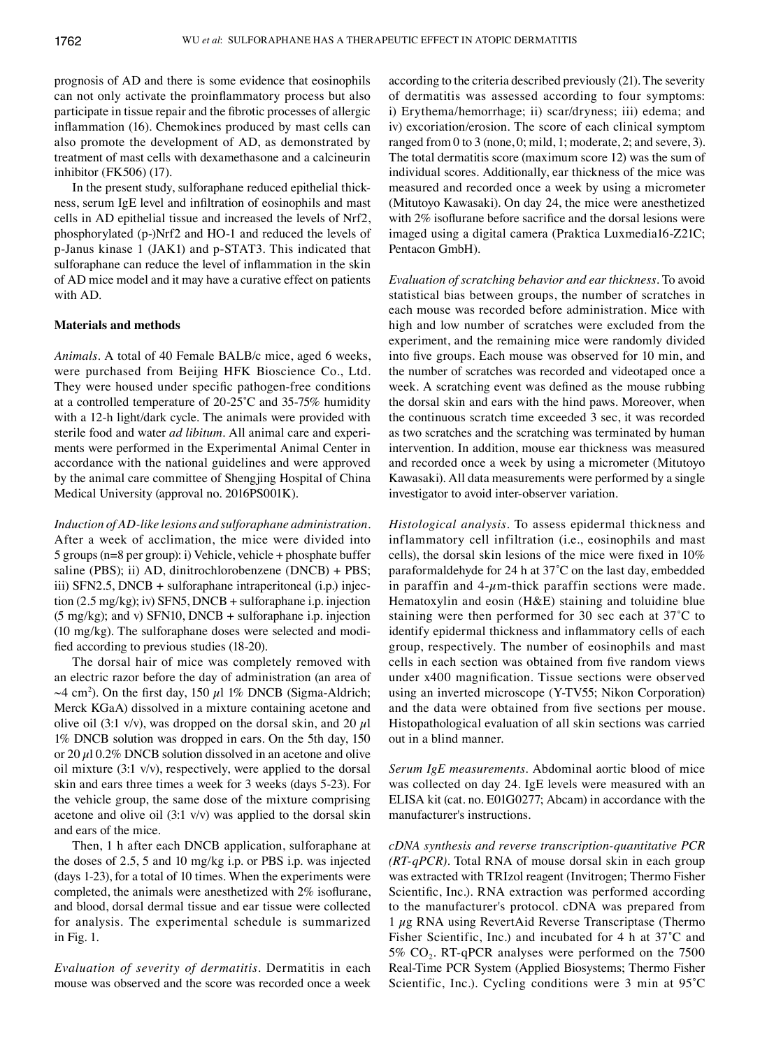prognosis of AD and there is some evidence that eosinophils can not only activate the proinflammatory process but also participate in tissue repair and the fibrotic processes of allergic inflammation (16). Chemokines produced by mast cells can also promote the development of AD, as demonstrated by treatment of mast cells with dexamethasone and a calcineurin inhibitor (FK506) (17).

In the present study, sulforaphane reduced epithelial thickness, serum IgE level and infiltration of eosinophils and mast cells in AD epithelial tissue and increased the levels of Nrf2, phosphorylated (p‑)Nrf2 and HO‑1 and reduced the levels of p‑Janus kinase 1 (JAK1) and p‑STAT3. This indicated that sulforaphane can reduce the level of inflammation in the skin of AD mice model and it may have a curative effect on patients with AD.

### **Materials and methods**

*Animals.* A total of 40 Female BALB/c mice, aged 6 weeks, were purchased from Beijing HFK Bioscience Co., Ltd. They were housed under specific pathogen-free conditions at a controlled temperature of 20‑25˚C and 35‑75% humidity with a 12-h light/dark cycle. The animals were provided with sterile food and water *ad libitum*. All animal care and experiments were performed in the Experimental Animal Center in accordance with the national guidelines and were approved by the animal care committee of Shengjing Hospital of China Medical University (approval no. 2016PS001K).

*Induction of AD‑like lesions and sulforaphane administration.*  After a week of acclimation, the mice were divided into 5 groups (n=8 per group): i) Vehicle, vehicle + phosphate buffer saline (PBS); ii) AD, dinitrochlorobenzene (DNCB) + PBS; iii) SFN2.5, DNCB + sulforaphane intraperitoneal (i.p.) injection (2.5 mg/kg); iv) SFN5, DNCB + sulforaphane i.p. injection (5 mg/kg); and v) SFN10, DNCB + sulforaphane i.p. injection (10 mg/kg). The sulforaphane doses were selected and modified according to previous studies (18‑20).

The dorsal hair of mice was completely removed with an electric razor before the day of administration (an area of  $\sim$ 4 cm<sup>2</sup>). On the first day, 150  $\mu$ l 1% DNCB (Sigma-Aldrich; Merck KGaA) dissolved in a mixture containing acetone and olive oil (3:1 v/v), was dropped on the dorsal skin, and 20  $\mu$ l 1% DNCB solution was dropped in ears. On the 5th day, 150 or 20  $\mu$ 10.2% DNCB solution dissolved in an acetone and olive oil mixture (3:1 v/v), respectively, were applied to the dorsal skin and ears three times a week for 3 weeks (days 5‑23). For the vehicle group, the same dose of the mixture comprising acetone and olive oil  $(3:1 \text{ v/v})$  was applied to the dorsal skin and ears of the mice.

Then, 1 h after each DNCB application, sulforaphane at the doses of 2.5, 5 and 10 mg/kg i.p. or PBS i.p. was injected (days 1‑23), for a total of 10 times. When the experiments were completed, the animals were anesthetized with 2% isoflurane, and blood, dorsal dermal tissue and ear tissue were collected for analysis. The experimental schedule is summarized in Fig. 1.

*Evaluation of severity of dermatitis.* Dermatitis in each mouse was observed and the score was recorded once a week according to the criteria described previously (21). The severity of dermatitis was assessed according to four symptoms: i) Erythema/hemorrhage; ii) scar/dryness; iii) edema; and iv) excoriation/erosion. The score of each clinical symptom ranged from 0 to 3 (none, 0; mild, 1; moderate, 2; and severe, 3). The total dermatitis score (maximum score 12) was the sum of individual scores. Additionally, ear thickness of the mice was measured and recorded once a week by using a micrometer (Mitutoyo Kawasaki). On day 24, the mice were anesthetized with 2% isoflurane before sacrifice and the dorsal lesions were imaged using a digital camera (Praktica Luxmedia16‑Z21C; Pentacon GmbH).

*Evaluation of scratching behavior and ear thickness.* To avoid statistical bias between groups, the number of scratches in each mouse was recorded before administration. Mice with high and low number of scratches were excluded from the experiment, and the remaining mice were randomly divided into five groups. Each mouse was observed for 10 min, and the number of scratches was recorded and videotaped once a week. A scratching event was defined as the mouse rubbing the dorsal skin and ears with the hind paws. Moreover, when the continuous scratch time exceeded 3 sec, it was recorded as two scratches and the scratching was terminated by human intervention. In addition, mouse ear thickness was measured and recorded once a week by using a micrometer (Mitutoyo Kawasaki). All data measurements were performed by a single investigator to avoid inter‑observer variation.

*Histological analysis.* To assess epidermal thickness and inflammatory cell infiltration (i.e., eosinophils and mast cells), the dorsal skin lesions of the mice were fixed in 10% paraformaldehyde for 24 h at 37˚C on the last day, embedded in paraffin and  $4-\mu$ m-thick paraffin sections were made. Hematoxylin and eosin (H&E) staining and toluidine blue staining were then performed for 30 sec each at 37˚C to identify epidermal thickness and inflammatory cells of each group, respectively. The number of eosinophils and mast cells in each section was obtained from five random views under x400 magnification. Tissue sections were observed using an inverted microscope (Y‑TV55; Nikon Corporation) and the data were obtained from five sections per mouse. Histopathological evaluation of all skin sections was carried out in a blind manner.

*Serum IgE measurements.* Abdominal aortic blood of mice was collected on day 24. IgE levels were measured with an ELISA kit (cat. no. E01G0277; Abcam) in accordance with the manufacturer's instructions.

*cDNA synthesis and reverse transcription‑quantitative PCR (RT‑qPCR).* Total RNA of mouse dorsal skin in each group was extracted with TRIzol reagent (Invitrogen; Thermo Fisher Scientific, Inc.). RNA extraction was performed according to the manufacturer's protocol. cDNA was prepared from  $1 \mu$ g RNA using RevertAid Reverse Transcriptase (Thermo Fisher Scientific, Inc.) and incubated for 4 h at 37˚C and 5%  $CO<sub>2</sub>$ . RT-qPCR analyses were performed on the 7500 Real‑Time PCR System (Applied Biosystems; Thermo Fisher Scientific, Inc.). Cycling conditions were 3 min at 95˚C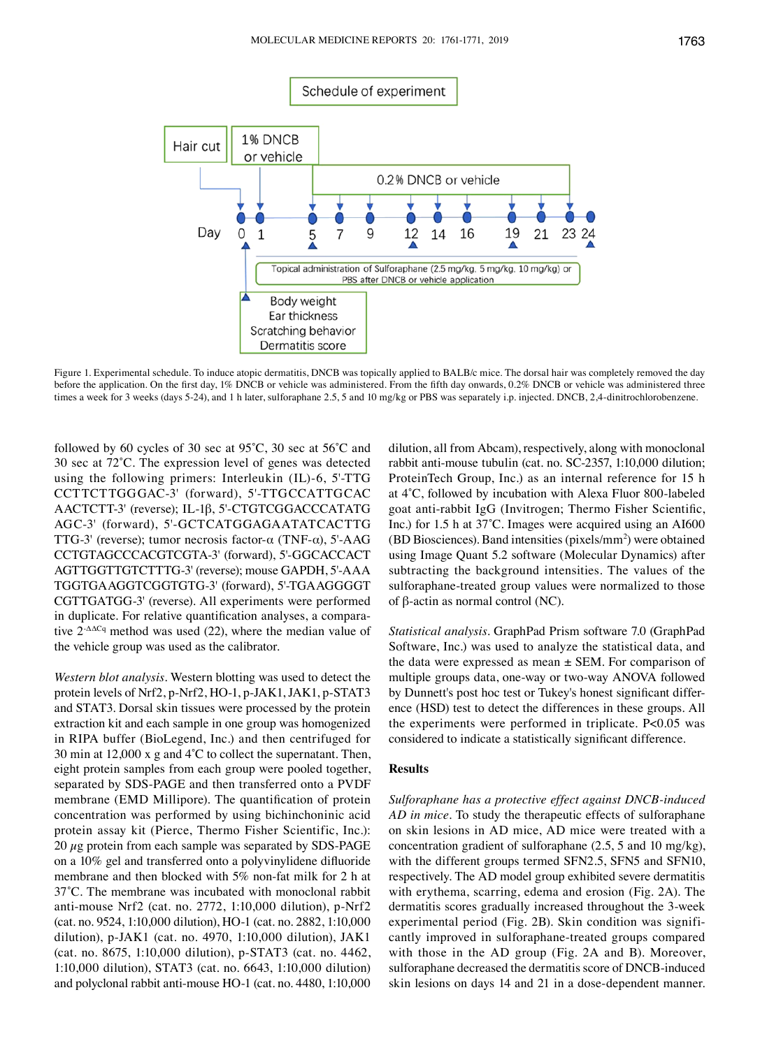

Figure 1. Experimental schedule. To induce atopic dermatitis, DNCB was topically applied to BALB/c mice. The dorsal hair was completely removed the day before the application. On the first day, 1% DNCB or vehicle was administered. From the fifth day onwards, 0.2% DNCB or vehicle was administered three times a week for 3 weeks (days 5-24), and 1 h later, sulforaphane 2.5, 5 and 10 mg/kg or PBS was separately i.p. injected. DNCB, 2,4-dinitrochlorobenzene.

followed by 60 cycles of 30 sec at 95˚C, 30 sec at 56˚C and 30 sec at 72˚C. The expression level of genes was detected using the following primers: Interleukin (IL)-6, 5'-TTG CCTTCTTGGGAC‑3' (forward), 5'‑TTGCCATTGCAC AACTCTT‑3' (reverse); IL‑1β, 5'‑CTGTCGGACCCATATG AGC‑3' (forward), 5'‑GCTCATGGAGAATATCACTTG TTG-3' (reverse); tumor necrosis factor- $\alpha$  (TNF- $\alpha$ ), 5'-AAG CCTGTAGCCCACGTCGTA‑3' (forward), 5'‑GGCACCACT AGTTGGTTGTCTTTG‑3' (reverse); mouse GAPDH, 5'‑AAA TGGTGAAGGTCGGTGTG‑3' (forward), 5'‑TGAAGGGGT CGTTGATGG‑3' (reverse). All experiments were performed in duplicate. For relative quantification analyses, a comparative 2-ΔΔCq method was used (22), where the median value of the vehicle group was used as the calibrator.

*Western blot analysis.* Western blotting was used to detect the protein levels of Nrf2, p-Nrf2, HO-1, p-JAK1, JAK1, p-STAT3 and STAT3. Dorsal skin tissues were processed by the protein extraction kit and each sample in one group was homogenized in RIPA buffer (BioLegend, Inc.) and then centrifuged for 30 min at 12,000 x g and 4˚C to collect the supernatant. Then, eight protein samples from each group were pooled together, separated by SDS‑PAGE and then transferred onto a PVDF membrane (EMD Millipore). The quantification of protein concentration was performed by using bichinchoninic acid protein assay kit (Pierce, Thermo Fisher Scientific, Inc.): 20  $\mu$ g protein from each sample was separated by SDS-PAGE on a 10% gel and transferred onto a polyvinylidene difluoride membrane and then blocked with 5% non-fat milk for 2 h at 37˚C. The membrane was incubated with monoclonal rabbit anti‑mouse Nrf2 (cat. no. 2772, 1:10,000 dilution), p‑Nrf2 (cat. no. 9524, 1:10,000 dilution), HO‑1 (cat. no. 2882, 1:10,000 dilution), p‑JAK1 (cat. no. 4970, 1:10,000 dilution), JAK1 (cat. no. 8675, 1:10,000 dilution), p‑STAT3 (cat. no. 4462, 1:10,000 dilution), STAT3 (cat. no. 6643, 1:10,000 dilution) and polyclonal rabbit anti‑mouse HO‑1 (cat. no. 4480, 1:10,000 dilution, all from Abcam), respectively, along with monoclonal rabbit anti-mouse tubulin (cat. no. SC-2357, 1:10,000 dilution; ProteinTech Group, Inc.) as an internal reference for 15 h at 4˚C, followed by incubation with Alexa Fluor 800‑labeled goat anti‑rabbit IgG (Invitrogen; Thermo Fisher Scientific, Inc.) for 1.5 h at 37˚C. Images were acquired using an AI600  $(BD Biosciences)$ . Band intensities (pixels/mm<sup>2</sup>) were obtained using Image Quant 5.2 software (Molecular Dynamics) after subtracting the background intensities. The values of the sulforaphane-treated group values were normalized to those of β-actin as normal control (NC).

*Statistical analysis.* GraphPad Prism software 7.0 (GraphPad Software, Inc.) was used to analyze the statistical data, and the data were expressed as mean  $\pm$  SEM. For comparison of multiple groups data, one‑way or two‑way ANOVA followed by Dunnett's post hoc test or Tukey's honest significant difference (HSD) test to detect the differences in these groups. All the experiments were performed in triplicate. P<0.05 was considered to indicate a statistically significant difference.

### **Results**

*Sulforaphane has a protective effect against DNCB‑induced AD in mice.* To study the therapeutic effects of sulforaphane on skin lesions in AD mice, AD mice were treated with a concentration gradient of sulforaphane (2.5, 5 and 10 mg/kg), with the different groups termed SFN2.5, SFN5 and SFN10, respectively. The AD model group exhibited severe dermatitis with erythema, scarring, edema and erosion (Fig. 2A). The dermatitis scores gradually increased throughout the 3‑week experimental period (Fig. 2B). Skin condition was significantly improved in sulforaphane‑treated groups compared with those in the AD group (Fig. 2A and B). Moreover, sulforaphane decreased the dermatitis score of DNCB‑induced skin lesions on days 14 and 21 in a dose‑dependent manner.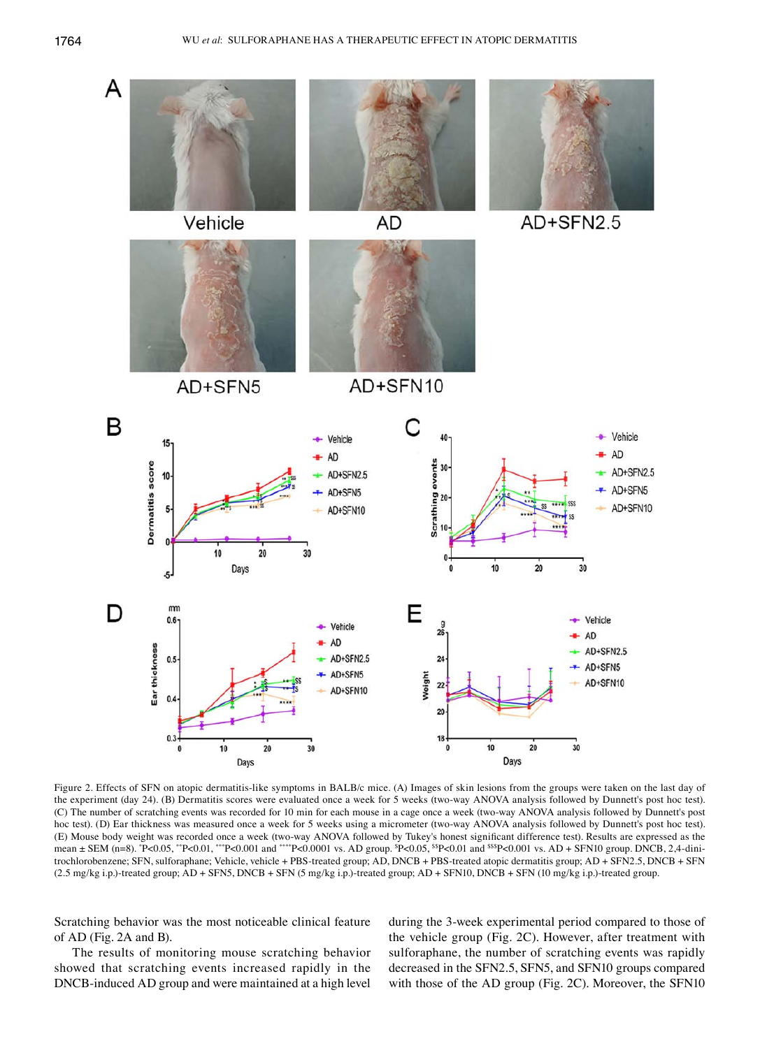

Figure 2. Effects of SFN on atopic dermatitis-like symptoms in BALB/c mice. (A) Images of skin lesions from the groups were taken on the last day of the experiment (day 24). (B) Dermatitis scores were evaluated once a week for 5 weeks (two‑way ANOVA analysis followed by Dunnett's post hoc test). (C) The number of scratching events was recorded for 10 min for each mouse in a cage once a week (two‑way ANOVA analysis followed by Dunnett's post hoc test). (D) Ear thickness was measured once a week for 5 weeks using a micrometer (two-way ANOVA analysis followed by Dunnett's post hoc test). (E) Mouse body weight was recorded once a week (two‑way ANOVA followed by Tukey's honest significant difference test). Results are expressed as the mean ± SEM (n=8). \*P<0.05, \*\*P<0.01, \*\*\*P<0.001 and \*\*\*\*P<0.0001 vs. AD group. \$P<0.05, \$\$P<0.01 and \$\$\$P<0.001 vs. AD + SFN10 group. DNCB, 2,4-dinitrochlorobenzene; SFN, sulforaphane; Vehicle, vehicle + PBS-treated group; AD, DNCB + PBS-treated atopic dermatitis group; AD + SFN2.5, DNCB + SFN (2.5 mg/kg i.p.)‑treated group; AD + SFN5, DNCB + SFN (5 mg/kg i.p.)‑treated group; AD + SFN10, DNCB + SFN (10 mg/kg i.p.)‑treated group.

Scratching behavior was the most noticeable clinical feature of AD (Fig. 2A and B).

The results of monitoring mouse scratching behavior showed that scratching events increased rapidly in the DNCB‑induced AD group and were maintained at a high level during the 3‑week experimental period compared to those of the vehicle group (Fig. 2C). However, after treatment with sulforaphane, the number of scratching events was rapidly decreased in the SFN2.5, SFN5, and SFN10 groups compared with those of the AD group (Fig. 2C). Moreover, the SFN10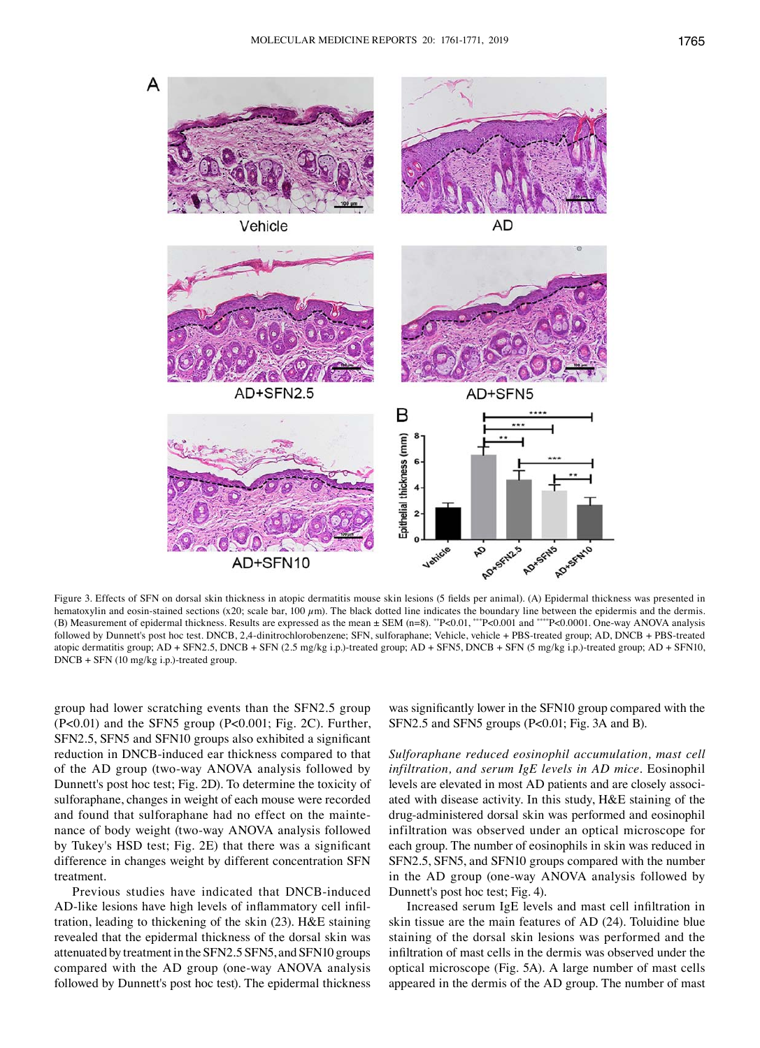

Figure 3. Effects of SFN on dorsal skin thickness in atopic dermatitis mouse skin lesions (5 fields per animal). (A) Epidermal thickness was presented in hematoxylin and eosin-stained sections (x20; scale bar, 100  $\mu$ m). The black dotted line indicates the boundary line between the epidermis and the dermis. (B) Measurement of epidermal thickness. Results are expressed as the mean ± SEM (n=8). \*\*P<0.01, \*\*\*P<0.001 and \*\*\*\*P<0.0001. One‑way ANOVA analysis followed by Dunnett's post hoc test. DNCB, 2,4‑dinitrochlorobenzene; SFN, sulforaphane; Vehicle, vehicle + PBS‑treated group; AD, DNCB + PBS‑treated atopic dermatitis group; AD + SFN2.5, DNCB + SFN (2.5 mg/kg i.p.)‑treated group; AD + SFN5, DNCB + SFN (5 mg/kg i.p.)‑treated group; AD + SFN10, DNCB + SFN (10 mg/kg i.p.)-treated group.

group had lower scratching events than the SFN2.5 group (P<0.01) and the SFN5 group (P<0.001; Fig. 2C). Further, SFN2.5, SFN5 and SFN10 groups also exhibited a significant reduction in DNCB‑induced ear thickness compared to that of the AD group (two‑way ANOVA analysis followed by Dunnett's post hoc test; Fig. 2D). To determine the toxicity of sulforaphane, changes in weight of each mouse were recorded and found that sulforaphane had no effect on the maintenance of body weight (two-way ANOVA analysis followed by Tukey's HSD test; Fig. 2E) that there was a significant difference in changes weight by different concentration SFN treatment.

Previous studies have indicated that DNCB‑induced AD-like lesions have high levels of inflammatory cell infiltration, leading to thickening of the skin (23). H&E staining revealed that the epidermal thickness of the dorsal skin was attenuated by treatment in the SFN2.5 SFN5, and SFN10 groups compared with the AD group (one‑way ANOVA analysis followed by Dunnett's post hoc test). The epidermal thickness

was significantly lower in the SFN10 group compared with the SFN2.5 and SFN5 groups (P<0.01; Fig. 3A and B).

*Sulforaphane reduced eosinophil accumulation, mast cell infiltration, and serum IgE levels in AD mice.* Eosinophil levels are elevated in most AD patients and are closely associated with disease activity. In this study, H&E staining of the drug‑administered dorsal skin was performed and eosinophil infiltration was observed under an optical microscope for each group. The number of eosinophils in skin was reduced in SFN2.5, SFN5, and SFN10 groups compared with the number in the AD group (one‑way ANOVA analysis followed by Dunnett's post hoc test; Fig. 4).

Increased serum IgE levels and mast cell infiltration in skin tissue are the main features of AD (24). Toluidine blue staining of the dorsal skin lesions was performed and the infiltration of mast cells in the dermis was observed under the optical microscope (Fig. 5A). A large number of mast cells appeared in the dermis of the AD group. The number of mast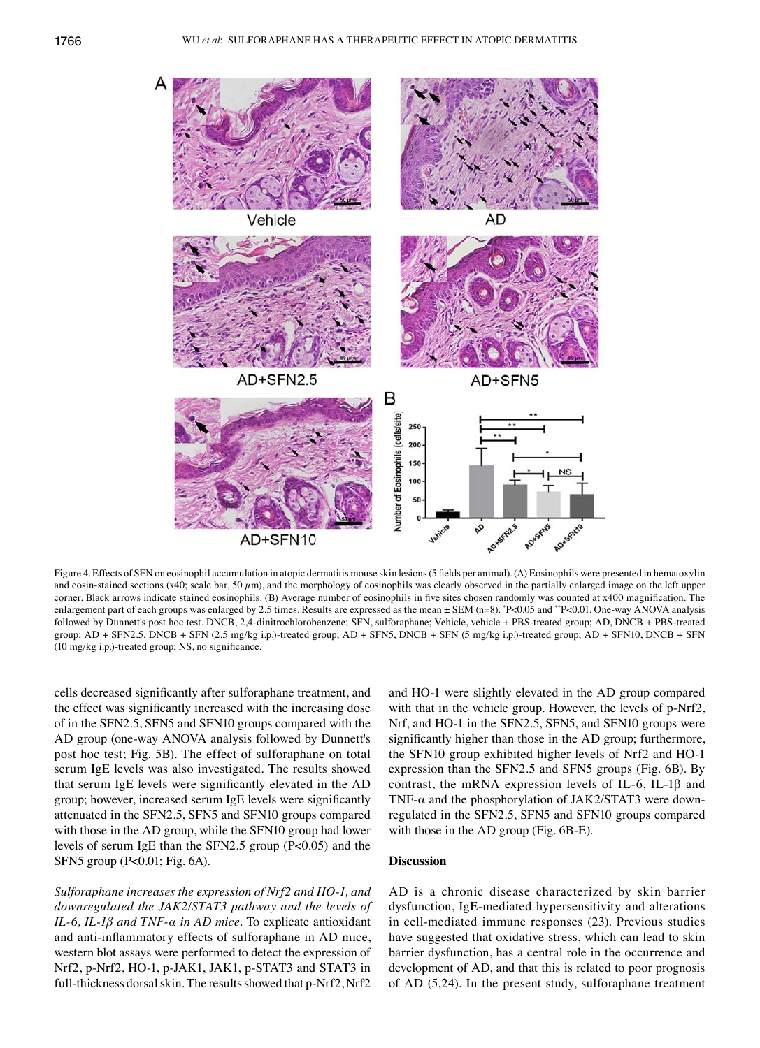

Figure 4. Effects of SFN on eosinophil accumulation in atopic dermatitis mouse skin lesions (5 fields per animal). (A) Eosinophils were presented in hematoxylin and eosin-stained sections (x40; scale bar, 50  $\mu$ m), and the morphology of eosinophils was clearly observed in the partially enlarged image on the left upper corner. Black arrows indicate stained eosinophils. (B) Average number of eosinophils in five sites chosen randomly was counted at x400 magnification. The enlargement part of each groups was enlarged by 2.5 times. Results are expressed as the mean ± SEM (n=8). \* P<0.05 and \*\*P<0.01. One‑way ANOVA analysis followed by Dunnett's post hoc test. DNCB, 2,4‑dinitrochlorobenzene; SFN, sulforaphane; Vehicle, vehicle + PBS‑treated group; AD, DNCB + PBS‑treated group; AD + SFN2.5, DNCB + SFN (2.5 mg/kg i.p.)‑treated group; AD + SFN5, DNCB + SFN (5 mg/kg i.p.)‑treated group; AD + SFN10, DNCB + SFN (10 mg/kg i.p.)‑treated group; NS, no significance.

cells decreased significantly after sulforaphane treatment, and the effect was significantly increased with the increasing dose of in the SFN2.5, SFN5 and SFN10 groups compared with the AD group (one‑way ANOVA analysis followed by Dunnett's post hoc test; Fig. 5B). The effect of sulforaphane on total serum IgE levels was also investigated. The results showed that serum IgE levels were significantly elevated in the AD group; however, increased serum IgE levels were significantly attenuated in the SFN2.5, SFN5 and SFN10 groups compared with those in the AD group, while the SFN10 group had lower levels of serum IgE than the SFN2.5 group (P<0.05) and the SFN5 group (P<0.01; Fig. 6A).

*Sulforaphane increases the expression of Nrf2 and HO‑1, and downregulated the JAK2/STAT3 pathway and the levels of IL‑6, IL‑1β and TNF‑α in AD mice.* To explicate antioxidant and anti-inflammatory effects of sulforaphane in AD mice, western blot assays were performed to detect the expression of Nrf2, p-Nrf2, HO-1, p-JAK1, JAK1, p-STAT3 and STAT3 in full-thickness dorsal skin. The results showed that p-Nrf2, Nrf2

and HO‑1 were slightly elevated in the AD group compared with that in the vehicle group. However, the levels of p-Nrf2, Nrf, and HO-1 in the SFN2.5, SFN5, and SFN10 groups were significantly higher than those in the AD group; furthermore, the SFN10 group exhibited higher levels of Nrf2 and HO‑1 expression than the SFN2.5 and SFN5 groups (Fig. 6B). By contrast, the mRNA expression levels of IL-6, IL-1 $\beta$  and TNF- $\alpha$  and the phosphorylation of JAK2/STAT3 were downregulated in the SFN2.5, SFN5 and SFN10 groups compared with those in the AD group (Fig. 6B-E).

# **Discussion**

AD is a chronic disease characterized by skin barrier dysfunction, IgE‑mediated hypersensitivity and alterations in cell-mediated immune responses (23). Previous studies have suggested that oxidative stress, which can lead to skin barrier dysfunction, has a central role in the occurrence and development of AD, and that this is related to poor prognosis of AD (5,24). In the present study, sulforaphane treatment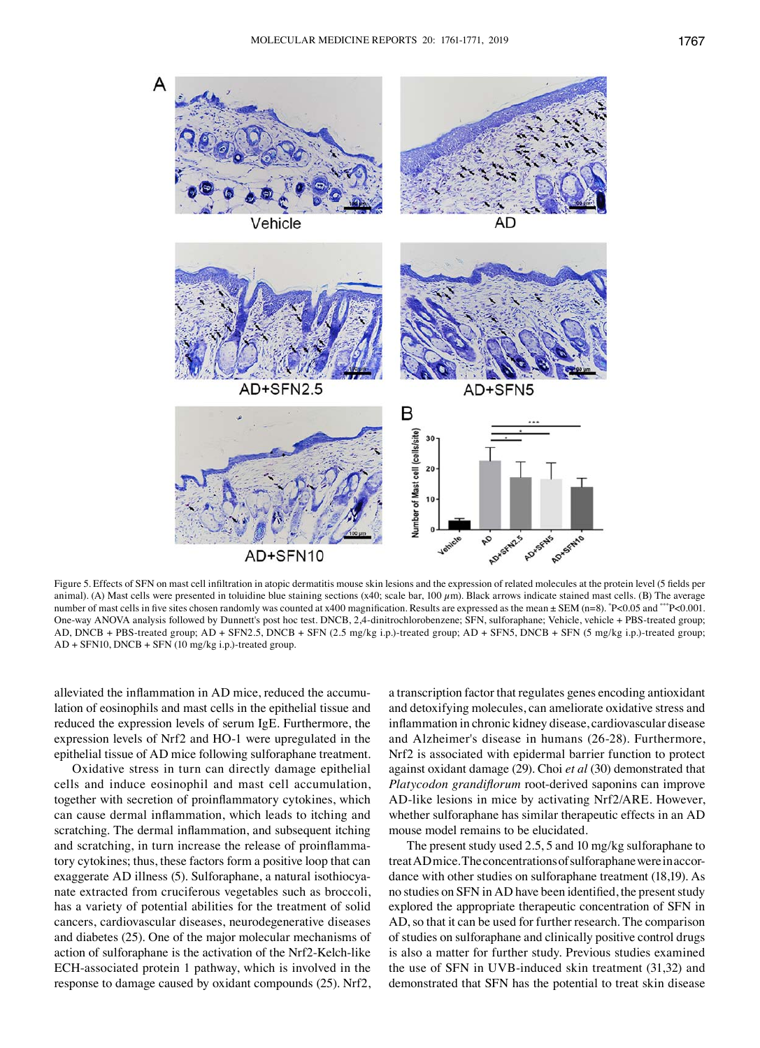

Figure 5. Effects of SFN on mast cell infiltration in atopic dermatitis mouse skin lesions and the expression of related molecules at the protein level (5 fields per animal). (A) Mast cells were presented in toluidine blue staining sections (x40; scale bar,  $100 \mu m$ ). Black arrows indicate stained mast cells. (B) The average number of mast cells in five sites chosen randomly was counted at x400 magnification. Results are expressed as the mean ± SEM (n=8). \*P<0.05 and \*\*\*P<0.001. One-way ANOVA analysis followed by Dunnett's post hoc test. DNCB, 2,4-dinitrochlorobenzene; SFN, sulforaphane; Vehicle, vehicle + PBS-treated group; AD, DNCB + PBS‑treated group; AD + SFN2.5, DNCB + SFN (2.5 mg/kg i.p.)‑treated group; AD + SFN5, DNCB + SFN (5 mg/kg i.p.)‑treated group; AD + SFN10, DNCB + SFN (10 mg/kg i.p.)‑treated group.

alleviated the inflammation in AD mice, reduced the accumulation of eosinophils and mast cells in the epithelial tissue and reduced the expression levels of serum IgE. Furthermore, the expression levels of Nrf2 and HO‑1 were upregulated in the epithelial tissue of AD mice following sulforaphane treatment.

Oxidative stress in turn can directly damage epithelial cells and induce eosinophil and mast cell accumulation, together with secretion of proinflammatory cytokines, which can cause dermal inflammation, which leads to itching and scratching. The dermal inflammation, and subsequent itching and scratching, in turn increase the release of proinflammatory cytokines; thus, these factors form a positive loop that can exaggerate AD illness (5). Sulforaphane, a natural isothiocyanate extracted from cruciferous vegetables such as broccoli, has a variety of potential abilities for the treatment of solid cancers, cardiovascular diseases, neurodegenerative diseases and diabetes (25). One of the major molecular mechanisms of action of sulforaphane is the activation of the Nrf2-Kelch-like ECH‑associated protein 1 pathway, which is involved in the response to damage caused by oxidant compounds (25). Nrf2, a transcription factor that regulates genes encoding antioxidant and detoxifying molecules, can ameliorate oxidative stress and inflammation in chronic kidney disease, cardiovascular disease and Alzheimer's disease in humans (26‑28). Furthermore, Nrf2 is associated with epidermal barrier function to protect against oxidant damage (29). Choi *et al* (30) demonstrated that *Platycodon grandiflorum* root-derived saponins can improve AD-like lesions in mice by activating Nrf2/ARE. However, whether sulforaphane has similar therapeutic effects in an AD mouse model remains to be elucidated.

The present study used 2.5, 5 and 10 mg/kg sulforaphane to treat AD mice. The concentrations of sulforaphane were in accordance with other studies on sulforaphane treatment (18,19). As no studies on SFN in AD have been identified, the present study explored the appropriate therapeutic concentration of SFN in AD, so that it can be used for further research. The comparison of studies on sulforaphane and clinically positive control drugs is also a matter for further study. Previous studies examined the use of SFN in UVB‑induced skin treatment (31,32) and demonstrated that SFN has the potential to treat skin disease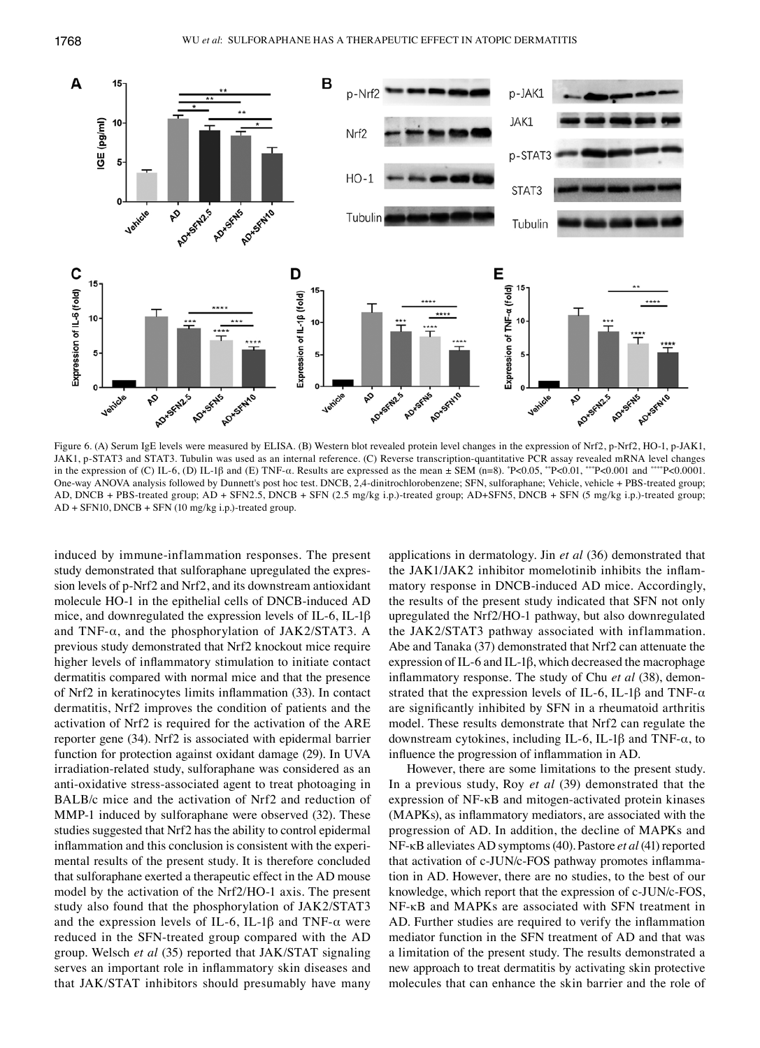

Figure 6. (A) Serum IgE levels were measured by ELISA. (B) Western blot revealed protein level changes in the expression of Nrf2, p-Nrf2, HO-1, p-JAK1, JAK1, p‑STAT3 and STAT3. Tubulin was used as an internal reference. (C) Reverse transcription‑quantitative PCR assay revealed mRNA level changes in the expression of (C) IL-6, (D) IL-1β and (E) TNF- $\alpha$ . Results are expressed as the mean  $\pm$  SEM (n=8).  $\degree$ P<0.05,  $\degree$ P<0.01,  $\degree$ <sup>\*\*</sup>P<0.001 and  $\degree$ <sup>\*\*\*</sup>P<0.0001. One-way ANOVA analysis followed by Dunnett's post hoc test. DNCB, 2,4-dinitrochlorobenzene; SFN, sulforaphane; Vehicle, vehicle + PBS-treated group; AD, DNCB + PBS‑treated group; AD + SFN2.5, DNCB + SFN (2.5 mg/kg i.p.)‑treated group; AD+SFN5, DNCB + SFN (5 mg/kg i.p.)‑treated group; AD + SFN10, DNCB + SFN (10 mg/kg i.p.)‑treated group.

induced by immune‑inflammation responses. The present study demonstrated that sulforaphane upregulated the expression levels of p‑Nrf2 and Nrf2, and its downstream antioxidant molecule HO-1 in the epithelial cells of DNCB-induced AD mice, and downregulated the expression levels of IL-6, IL-1 $\beta$ and TNF- $\alpha$ , and the phosphorylation of JAK2/STAT3. A previous study demonstrated that Nrf2 knockout mice require higher levels of inflammatory stimulation to initiate contact dermatitis compared with normal mice and that the presence of Nrf2 in keratinocytes limits inflammation (33). In contact dermatitis, Nrf2 improves the condition of patients and the activation of Nrf2 is required for the activation of the ARE reporter gene (34). Nrf2 is associated with epidermal barrier function for protection against oxidant damage (29). In UVA irradiation-related study, sulforaphane was considered as an anti‑oxidative stress‑associated agent to treat photoaging in BALB/c mice and the activation of Nrf2 and reduction of MMP-1 induced by sulforaphane were observed (32). These studies suggested that Nrf2 has the ability to control epidermal inflammation and this conclusion is consistent with the experimental results of the present study. It is therefore concluded that sulforaphane exerted a therapeutic effect in the AD mouse model by the activation of the Nrf2/HO-1 axis. The present study also found that the phosphorylation of JAK2/STAT3 and the expression levels of IL-6, IL-1 $\beta$  and TNF- $\alpha$  were reduced in the SFN‑treated group compared with the AD group. Welsch *et al* (35) reported that JAK/STAT signaling serves an important role in inflammatory skin diseases and that JAK/STAT inhibitors should presumably have many applications in dermatology. Jin *et al* (36) demonstrated that the JAK1/JAK2 inhibitor momelotinib inhibits the inflammatory response in DNCB‑induced AD mice. Accordingly, the results of the present study indicated that SFN not only upregulated the Nrf2/HO‑1 pathway, but also downregulated the JAK2/STAT3 pathway associated with inflammation. Abe and Tanaka (37) demonstrated that Nrf2 can attenuate the expression of IL‑6 and IL‑1β, which decreased the macrophage inflammatory response. The study of Chu *et al* (38), demonstrated that the expression levels of IL-6, IL-1 $\beta$  and TNF- $\alpha$ are significantly inhibited by SFN in a rheumatoid arthritis model. These results demonstrate that Nrf2 can regulate the downstream cytokines, including IL-6, IL-1 $\beta$  and TNF- $\alpha$ , to influence the progression of inflammation in AD.

However, there are some limitations to the present study. In a previous study, Roy *et al* (39) demonstrated that the expression of NF‑κB and mitogen‑activated protein kinases (MAPKs), as inflammatory mediators, are associated with the progression of AD. In addition, the decline of MAPKs and NF-κB alleviates AD symptoms(40). Pastore *et al* (41) reported that activation of c‑JUN/c‑FOS pathway promotes inflammation in AD. However, there are no studies, to the best of our knowledge, which report that the expression of c‑JUN/c‑FOS, NF-κB and MAPKs are associated with SFN treatment in AD. Further studies are required to verify the inflammation mediator function in the SFN treatment of AD and that was a limitation of the present study. The results demonstrated a new approach to treat dermatitis by activating skin protective molecules that can enhance the skin barrier and the role of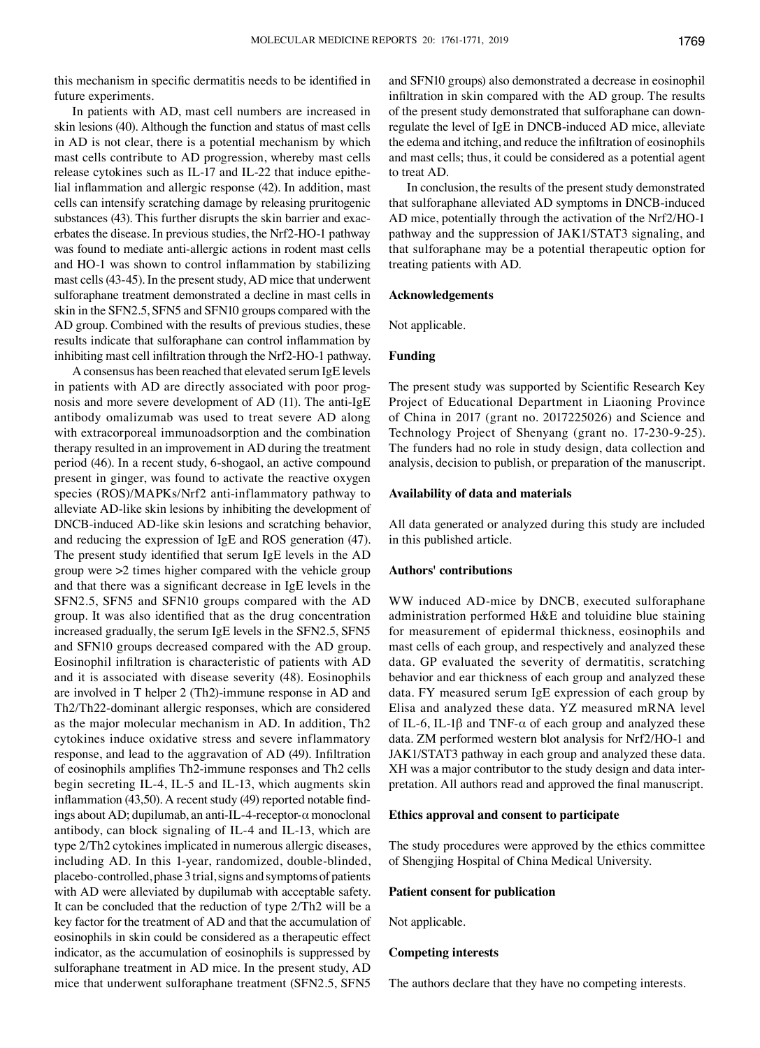this mechanism in specific dermatitis needs to be identified in future experiments.

In patients with AD, mast cell numbers are increased in skin lesions (40). Although the function and status of mast cells in AD is not clear, there is a potential mechanism by which mast cells contribute to AD progression, whereby mast cells release cytokines such as IL‑17 and IL‑22 that induce epithelial inflammation and allergic response (42). In addition, mast cells can intensify scratching damage by releasing pruritogenic substances (43). This further disrupts the skin barrier and exacerbates the disease. In previous studies, the Nrf2‑HO‑1 pathway was found to mediate anti-allergic actions in rodent mast cells and HO‑1 was shown to control inflammation by stabilizing mast cells (43-45). In the present study, AD mice that underwent sulforaphane treatment demonstrated a decline in mast cells in skin in the SFN2.5, SFN5 and SFN10 groups compared with the AD group. Combined with the results of previous studies, these results indicate that sulforaphane can control inflammation by inhibiting mast cell infiltration through the Nrf2‑HO‑1 pathway.

A consensus has been reached that elevated serum IgE levels in patients with AD are directly associated with poor prognosis and more severe development of AD (11). The anti-IgE antibody omalizumab was used to treat severe AD along with extracorporeal immunoadsorption and the combination therapy resulted in an improvement in AD during the treatment period (46). In a recent study, 6‑shogaol, an active compound present in ginger, was found to activate the reactive oxygen species (ROS)/MAPKs/Nrf2 anti-inflammatory pathway to alleviate AD‑like skin lesions by inhibiting the development of DNCB‑induced AD‑like skin lesions and scratching behavior, and reducing the expression of IgE and ROS generation (47). The present study identified that serum IgE levels in the AD group were >2 times higher compared with the vehicle group and that there was a significant decrease in IgE levels in the SFN2.5, SFN5 and SFN10 groups compared with the AD group. It was also identified that as the drug concentration increased gradually, the serum IgE levels in the SFN2.5, SFN5 and SFN10 groups decreased compared with the AD group. Eosinophil infiltration is characteristic of patients with AD and it is associated with disease severity (48). Eosinophils are involved in T helper 2 (Th2)‑immune response in AD and Th2/Th22‑dominant allergic responses, which are considered as the major molecular mechanism in AD. In addition, Th2 cytokines induce oxidative stress and severe inflammatory response, and lead to the aggravation of AD (49). Infiltration of eosinophils amplifies Th2‑immune responses and Th2 cells begin secreting IL–4, IL–5 and IL–13, which augments skin inflammation (43,50). A recent study (49) reported notable findings about AD; dupilumab, an anti-IL-4-receptor- $\alpha$  monoclonal antibody, can block signaling of IL‑4 and IL‑13, which are type 2/Th2 cytokines implicated in numerous allergic diseases, including AD. In this 1‑year, randomized, double‑blinded, placebo‑controlled, phase 3 trial, signs and symptoms of patients with AD were alleviated by dupilumab with acceptable safety. It can be concluded that the reduction of type 2/Th2 will be a key factor for the treatment of AD and that the accumulation of eosinophils in skin could be considered as a therapeutic effect indicator, as the accumulation of eosinophils is suppressed by sulforaphane treatment in AD mice. In the present study, AD mice that underwent sulforaphane treatment (SFN2.5, SFN5 and SFN10 groups) also demonstrated a decrease in eosinophil infiltration in skin compared with the AD group. The results of the present study demonstrated that sulforaphane can downregulate the level of IgE in DNCB‑induced AD mice, alleviate the edema and itching, and reduce the infiltration of eosinophils and mast cells; thus, it could be considered as a potential agent to treat AD.

In conclusion, the results of the present study demonstrated that sulforaphane alleviated AD symptoms in DNCB‑induced AD mice, potentially through the activation of the Nrf2/HO-1 pathway and the suppression of JAK1/STAT3 signaling, and that sulforaphane may be a potential therapeutic option for treating patients with AD.

#### **Acknowledgements**

Not applicable.

#### **Funding**

The present study was supported by Scientific Research Key Project of Educational Department in Liaoning Province of China in 2017 (grant no. 2017225026) and Science and Technology Project of Shenyang (grant no. 17-230-9-25). The funders had no role in study design, data collection and analysis, decision to publish, or preparation of the manuscript.

### **Availability of data and materials**

All data generated or analyzed during this study are included in this published article.

### **Authors' contributions**

WW induced AD‑mice by DNCB, executed sulforaphane administration performed H&E and toluidine blue staining for measurement of epidermal thickness, eosinophils and mast cells of each group, and respectively and analyzed these data. GP evaluated the severity of dermatitis, scratching behavior and ear thickness of each group and analyzed these data. FY measured serum IgE expression of each group by Elisa and analyzed these data. YZ measured mRNA level of IL-6, IL-1 $\beta$  and TNF- $\alpha$  of each group and analyzed these data. ZM performed western blot analysis for Nrf2/HO-1 and JAK1/STAT3 pathway in each group and analyzed these data. XH was a major contributor to the study design and data interpretation. All authors read and approved the final manuscript.

#### **Ethics approval and consent to participate**

The study procedures were approved by the ethics committee of Shengjing Hospital of China Medical University.

### **Patient consent for publication**

Not applicable.

## **Competing interests**

The authors declare that they have no competing interests.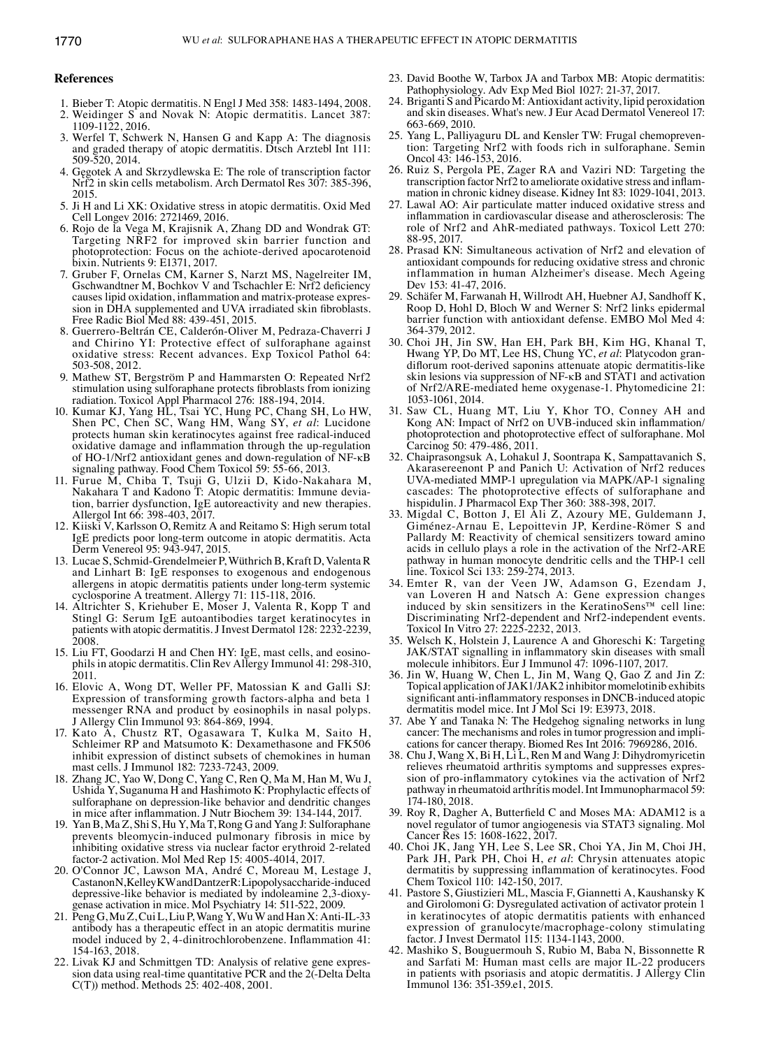- 1. Bieber T: Atopic dermatitis. N Engl J Med 358: 1483‑1494, 2008.
- 2. Weidinger S and Novak N: Atopic dermatitis. Lancet 387: 1109‑1122, 2016.
- 3. Werfel T, Schwerk N, Hansen G and Kapp A: The diagnosis and graded therapy of atopic dermatitis. Dtsch Arztebl Int 111: 509‑520, 2014.
- 4. Gęgotek A and Skrzydlewska E: The role of transcription factor Nrf2 in skin cells metabolism. Arch Dermatol Res 307: 385‑396, 2015.
- 5. Ji H and Li XK: Oxidative stress in atopic dermatitis. Oxid Med Cell Longev 2016: 2721469, 2016.
- 6. Rojo de la Vega M, Krajisnik A, Zhang DD and Wondrak GT: Targeting NRF2 for improved skin barrier function and photoprotection: Focus on the achiote-derived apocarotenoid bixin. Nutrients 9: E1371, 2017.
- 7. Gruber F, Ornelas CM, Karner S, Narzt MS, Nagelreiter IM, Gschwandtner M, Bochkov V and Tschachler E: Nrf2 deficiency causes lipid oxidation, inflammation and matrix-protease expression in DHA supplemented and UVA irradiated skin fibroblasts. Free Radic Biol Med 88: 439‑451, 2015.
- 8. Guerrero‑Beltrán CE, Calderón‑Oliver M, Pedraza‑Chaverri J and Chirino YI: Protective effect of sulforaphane against oxidative stress: Recent advances. Exp Toxicol Pathol 64: 503‑508, 2012.
- 9. Mathew ST, Bergström P and Hammarsten O: Repeated Nrf2 stimulation using sulforaphane protects fibroblasts from ionizing radiation. Toxicol Appl Pharmacol 276: 188‑194, 2014.
- 10. Kumar KJ, Yang HL, Tsai YC, Hung PC, Chang SH, Lo HW, Shen PC, Chen SC, Wang HM, Wang SY, *et al*: Lucidone protects human skin keratinocytes against free radical‑induced oxidative damage and inflammation through the up‑regulation of HO‑1/Nrf2 antioxidant genes and down‑regulation of NF‑κB signaling pathway. Food Chem Toxicol 59: 55‑66, 2013.
- 11. Furue M, Chiba T, Tsuji G, Ulzii D, Kido‑Nakahara M, Nakahara T and Kadono T: Atopic dermatitis: Immune deviation, barrier dysfunction, IgE autoreactivity and new therapies. Allergol Int 66: 398‑403, 2017.
- 12. Kiiski V, Karlsson O, Remitz A and Reitamo S: High serum total IgE predicts poor long‑term outcome in atopic dermatitis. Acta Derm Venereol 95: 943-947, 2015.
- 13. Lucae S, Schmid‑Grendelmeier P, Wüthrich B, Kraft D, Valenta R and Linhart B: IgE responses to exogenous and endogenous allergens in atopic dermatitis patients under long‑term systemic cyclosporine A treatment. Allergy 71: 115‑118, 2016.
- 14. Altrichter S, Kriehuber E, Moser J, Valenta R, Kopp T and Stingl G: Serum IgE autoantibodies target keratinocytes in patients with atopic dermatitis. J Invest Dermatol 128: 2232-2239, 2008.
- 15. Liu FT, Goodarzi H and Chen HY: IgE, mast cells, and eosinophils in atopic dermatitis. Clin Rev Allergy Immunol 41: 298‑310, 2011.
- 16. Elovic A, Wong DT, Weller PF, Matossian K and Galli SJ: Expression of transforming growth factors‑alpha and beta 1 messenger RNA and product by eosinophils in nasal polyps. J Allergy Clin Immunol 93: 864‑869, 1994.
- 17. Kato A, Chustz RT, Ogasawara T, Kulka M, Saito H, Schleimer RP and Matsumoto K: Dexamethasone and FK506 inhibit expression of distinct subsets of chemokines in human mast cells. J Immunol 182: 7233‑7243, 2009.
- 18. Zhang JC, Yao W, Dong C, Yang C, Ren Q, Ma M, Han M, Wu J, Ushida Y, Suganuma H and Hashimoto K: Prophylactic effects of sulforaphane on depression-like behavior and dendritic changes in mice after inflammation. J Nutr Biochem 39: 134‑144, 2017.
- 19. Yan B, Ma Z, Shi S, Hu Y, Ma T, Rong G and Yang J: Sulforaphane prevents bleomycin‑induced pulmonary fibrosis in mice by inhibiting oxidative stress via nuclear factor erythroid 2‑related factor‑2 activation. Mol Med Rep 15: 4005‑4014, 2017.
- 20. O'Connor JC, Lawson MA, André C, Moreau M, Lestage J, CastanonN, Kelley KW and DantzerR: Lipopolysaccharide-induced depressive-like behavior is mediated by indoleamine 2,3-dioxygenase activation in mice. Mol Psychiatry 14: 511‑522, 2009.
- 21. Peng G, Mu Z, Cui L, Liu P, Wang Y, Wu W and Han X: Anti-IL-33 antibody has a therapeutic effect in an atopic dermatitis murine model induced by 2, 4-dinitrochlorobenzene. Inflammation 41: 154‑163, 2018.
- 22. Livak KJ and Schmittgen TD: Analysis of relative gene expression data using real-time quantitative PCR and the  $2$ ( $\overline{ }$ -Delta Delta C(T)) method. Methods 25: 402‑408, 2001.
- 23. David Boothe W, Tarbox JA and Tarbox MB: Atopic dermatitis: Pathophysiology. Adv Exp Med Biol 1027: 21‑37, 2017.
- 24. Briganti S and Picardo M: Antioxidant activity, lipid peroxidation and skin diseases. What's new. J Eur Acad Dermatol Venereol 17: 663‑669, 2010.
- 25. Yang L, Palliyaguru DL and Kensler TW: Frugal chemoprevention: Targeting Nrf2 with foods rich in sulforaphane. Semin Oncol 43: 146‑153, 2016.
- 26. Ruiz S, Pergola PE, Zager RA and Vaziri ND: Targeting the transcription factor Nrf2 to ameliorate oxidative stress and inflammation in chronic kidney disease. Kidney Int 83: 1029-1041, 2013.
- 27. Lawal AO: Air particulate matter induced oxidative stress and inflammation in cardiovascular disease and atherosclerosis: The role of Nrf2 and AhR‑mediated pathways. Toxicol Lett 270: 88‑95, 2017.
- 28. Prasad KN: Simultaneous activation of Nrf2 and elevation of antioxidant compounds for reducing oxidative stress and chronic inflammation in human Alzheimer's disease. Mech Ageing Dev 153: 41‑47, 2016.
- 29. Schäfer M, Farwanah H, Willrodt AH, Huebner AJ, Sandhoff K, Roop D, Hohl D, Bloch W and Werner S: Nrf2 links epidermal barrier function with antioxidant defense. EMBO Mol Med 4: 364‑379, 2012.
- 30. Choi JH, Jin SW, Han EH, Park BH, Kim HG, Khanal T, Hwang YP, Do MT, Lee HS, Chung YC, et al: Platycodon grandiflorum root-derived saponins attenuate atopic dermatitis-like skin lesions via suppression of NF‑κB and STAT1 and activation of Nrf2/ARE‑mediated heme oxygenase‑1. Phytomedicine 21: 1053‑1061, 2014.
- 31. Saw CL, Huang MT, Liu Y, Khor TO, Conney AH and Kong AN: Impact of Nrf2 on UVB-induced skin inflammation/ photoprotection and photoprotective effect of sulforaphane. Mol Carcinog 50: 479‑486, 2011.
- 32. Chaiprasongsuk A, Lohakul J, Soontrapa K, Sampattavanich S, Akarasereenont P and Panich U: Activation of Nrf2 reduces UVA‑mediated MMP‑1 upregulation via MAPK/AP‑1 signaling cascades: The photoprotective effects of sulforaphane and hispidulin. J Pharmacol Exp Ther 360: 388-398, 2017.
- 33. Migdal C, Botton J, El Ali Z, Azoury ME, Guldemann J, Giménez‑Arnau E, Lepoittevin JP, Kerdine‑Römer S and Pallardy M: Reactivity of chemical sensitizers toward amino acids in cellulo plays a role in the activation of the Nrf2‑ARE pathway in human monocyte dendritic cells and the THP‑1 cell line. Toxicol Sci 133: 259‑274, 2013.
- 34. Emter R, van der Veen JW, Adamson G, Ezendam J, van Loveren H and Natsch A: Gene expression changes induced by skin sensitizers in the KeratinoSens™ cell line: Discriminating Nrf2‑dependent and Nrf2‑independent events. Toxicol In Vitro 27: 2225‑2232, 2013.
- 35. Welsch K, Holstein J, Laurence A and Ghoreschi K: Targeting JAK/STAT signalling in inflammatory skin diseases with small molecule inhibitors. Eur J Immunol 47: 1096‑1107, 2017.
- 36. Jin W, Huang W, Chen L, Jin M, Wang Q, Gao Z and Jin Z: Topical application of JAK1/JAK2 inhibitor momelotinib exhibits significant anti-inflammatory responses in DNCB-induced atopic dermatitis model mice. Int J Mol Sci 19: E3973, 2018.
- 37. Abe Y and Tanaka N: The Hedgehog signaling networks in lung cancer: The mechanisms and roles in tumor progression and implications for cancer therapy. Biomed Res Int 2016: 7969286, 2016.
- 38. Chu J, Wang X, Bi H, Li L, Ren M and Wang J: Dihydromyricetin sion of pro-inflammatory cytokines via the activation of Nrf2 pathway in rheumatoid arthritis model. Int Immunopharmacol 59: 174‑180, 2018.
- 39. Roy R, Dagher A, Butterfield C and Moses MA: ADAM12 is a novel regulator of tumor angiogenesis via STAT3 signaling. Mol Cancer Res 15: 1608‑1622, 2017.
- 40. Choi JK, Jang YH, Lee S, Lee SR, Choi YA, Jin M, Choi JH, Park JH, Park PH, Choi H, *et al*: Chrysin attenuates atopic dermatitis by suppressing inflammation of keratinocytes. Food Chem Toxicol 110: 142‑150, 2017.
- 41. Pastore S, Giustizieri ML, Mascia F, Giannetti A, Kaushansky K and Girolomoni G: Dysregulated activation of activator protein 1 in keratinocytes of atopic dermatitis patients with enhanced expression of granulocyte/macrophage‑colony stimulating factor. J Invest Dermatol 115: 1134‑1143, 2000.
- 42. Mashiko S, Bouguermouh S, Rubio M, Baba N, Bissonnette R and Sarfati M: Human mast cells are major IL‑22 producers in patients with psoriasis and atopic dermatitis. J Allergy Clin Immunol 136: 351‑359.e1, 2015.